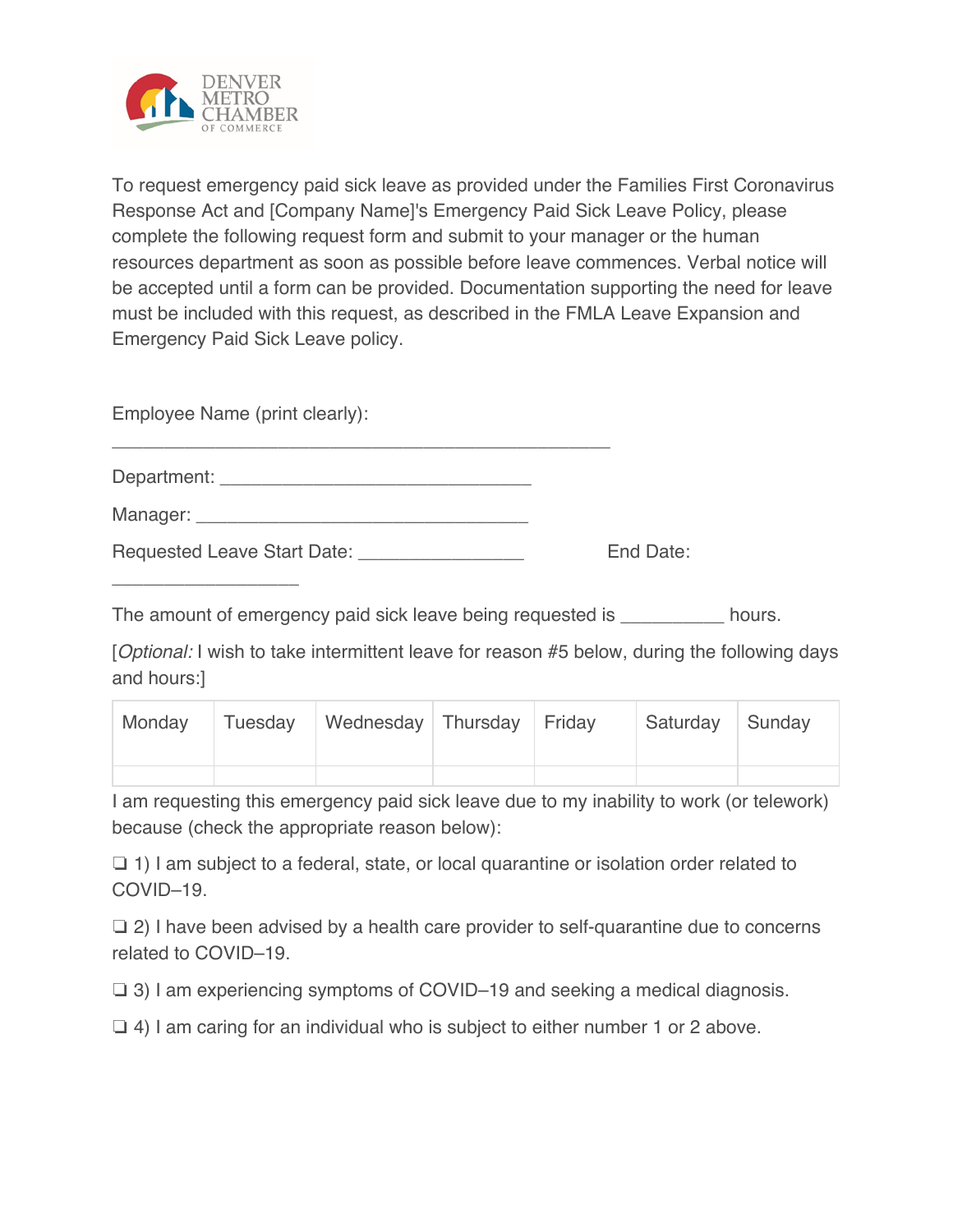

To request emergency paid sick leave as provided under the Families First Coronavirus Response Act and [Company Name]'s Emergency Paid Sick Leave Policy, please complete the following request form and submit to your manager or the human resources department as soon as possible before leave commences. Verbal notice will be accepted until a form can be provided. Documentation supporting the need for leave must be included with this request, as described in the FMLA Leave Expansion and Emergency Paid Sick Leave policy.

Employee Name (print clearly):

\_\_\_\_\_\_\_\_\_\_\_\_\_\_\_\_\_\_

| Department: |  |  |  |
|-------------|--|--|--|
| Manager:    |  |  |  |

\_\_\_\_\_\_\_\_\_\_\_\_\_\_\_\_\_\_\_\_\_\_\_\_\_\_\_\_\_\_\_\_\_\_\_\_\_\_\_\_\_\_\_\_\_\_\_\_

| Requested Leave Start Date: | End Date: |
|-----------------------------|-----------|
|                             |           |

The amount of emergency paid sick leave being requested is **Notice 2018** hours.

[*Optional:* I wish to take intermittent leave for reason #5 below, during the following days and hours:]

|  | Monday Tuesday Wednesday Thursday Friday |  | Saturday Sunday |  |
|--|------------------------------------------|--|-----------------|--|
|  |                                          |  |                 |  |

I am requesting this emergency paid sick leave due to my inability to work (or telework) because (check the appropriate reason below):

❏ 1) I am subject to a federal, state, or local quarantine or isolation order related to COVID–19.

❏ 2) I have been advised by a health care provider to self-quarantine due to concerns related to COVID–19.

❏ 3) I am experiencing symptoms of COVID–19 and seeking a medical diagnosis.

❏ 4) I am caring for an individual who is subject to either number 1 or 2 above.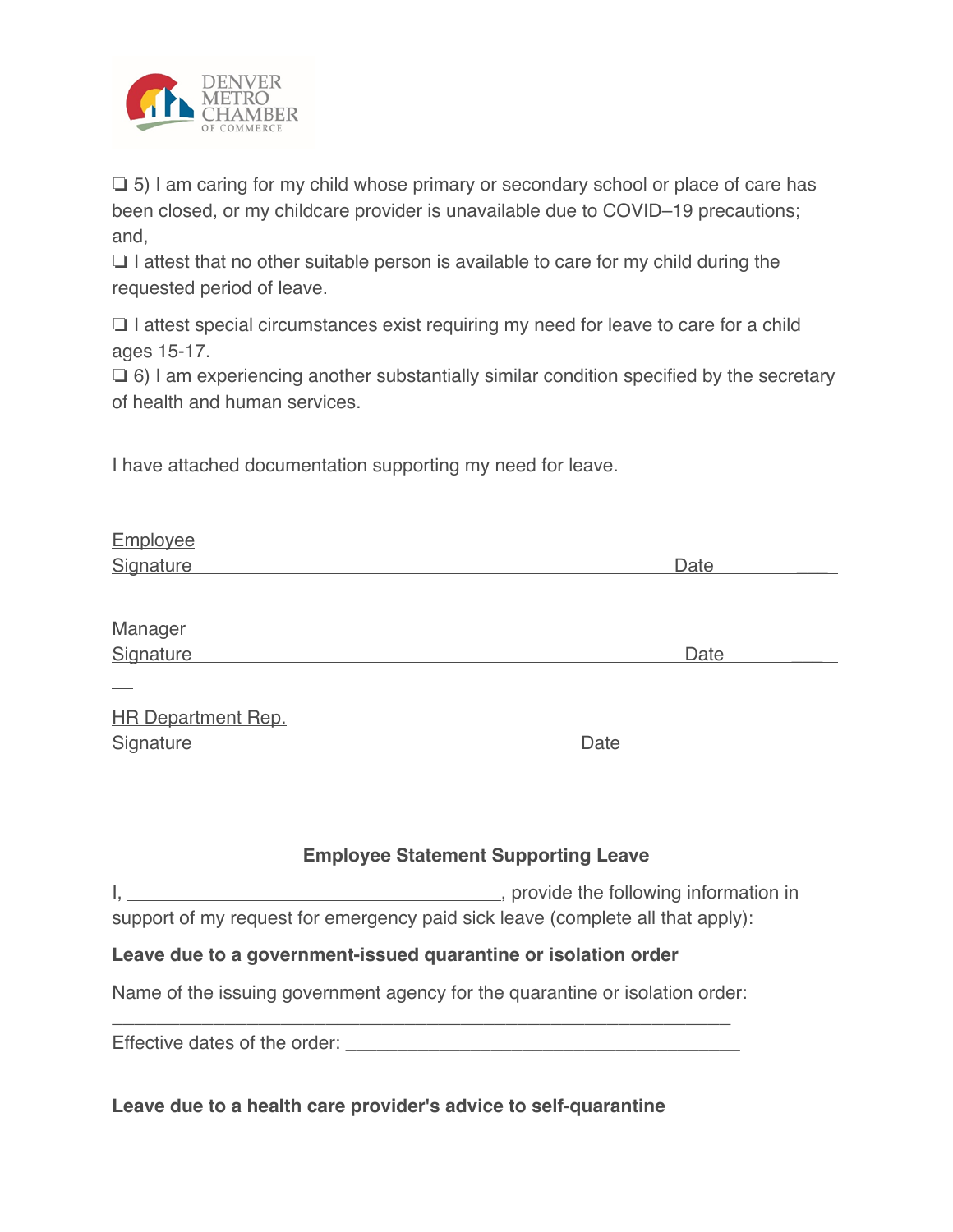

❏ 5) I am caring for my child whose primary or secondary school or place of care has been closed, or my childcare provider is unavailable due to COVID–19 precautions; and,

❏ I attest that no other suitable person is available to care for my child during the requested period of leave.

❏ I attest special circumstances exist requiring my need for leave to care for a child ages 15-17.

❏ 6) I am experiencing another substantially similar condition specified by the secretary of health and human services.

I have attached documentation supporting my need for leave.

|      | Date |
|------|------|
|      |      |
|      |      |
|      |      |
|      | Date |
|      |      |
|      |      |
|      |      |
| Date |      |
|      |      |

## **Employee Statement Supporting Leave**

I,  $\frac{1}{2}$  , provide the following information in support of my request for emergency paid sick leave (complete all that apply):

## **Leave due to a government-issued quarantine or isolation order**

Name of the issuing government agency for the quarantine or isolation order:

\_\_\_\_\_\_\_\_\_\_\_\_\_\_\_\_\_\_\_\_\_\_\_\_\_\_\_\_\_\_\_\_\_\_\_\_\_\_\_\_\_\_\_\_\_\_\_\_\_\_\_\_\_\_\_ Effective dates of the order:  $\blacksquare$ 

**Leave due to a health care provider's advice to self-quarantine**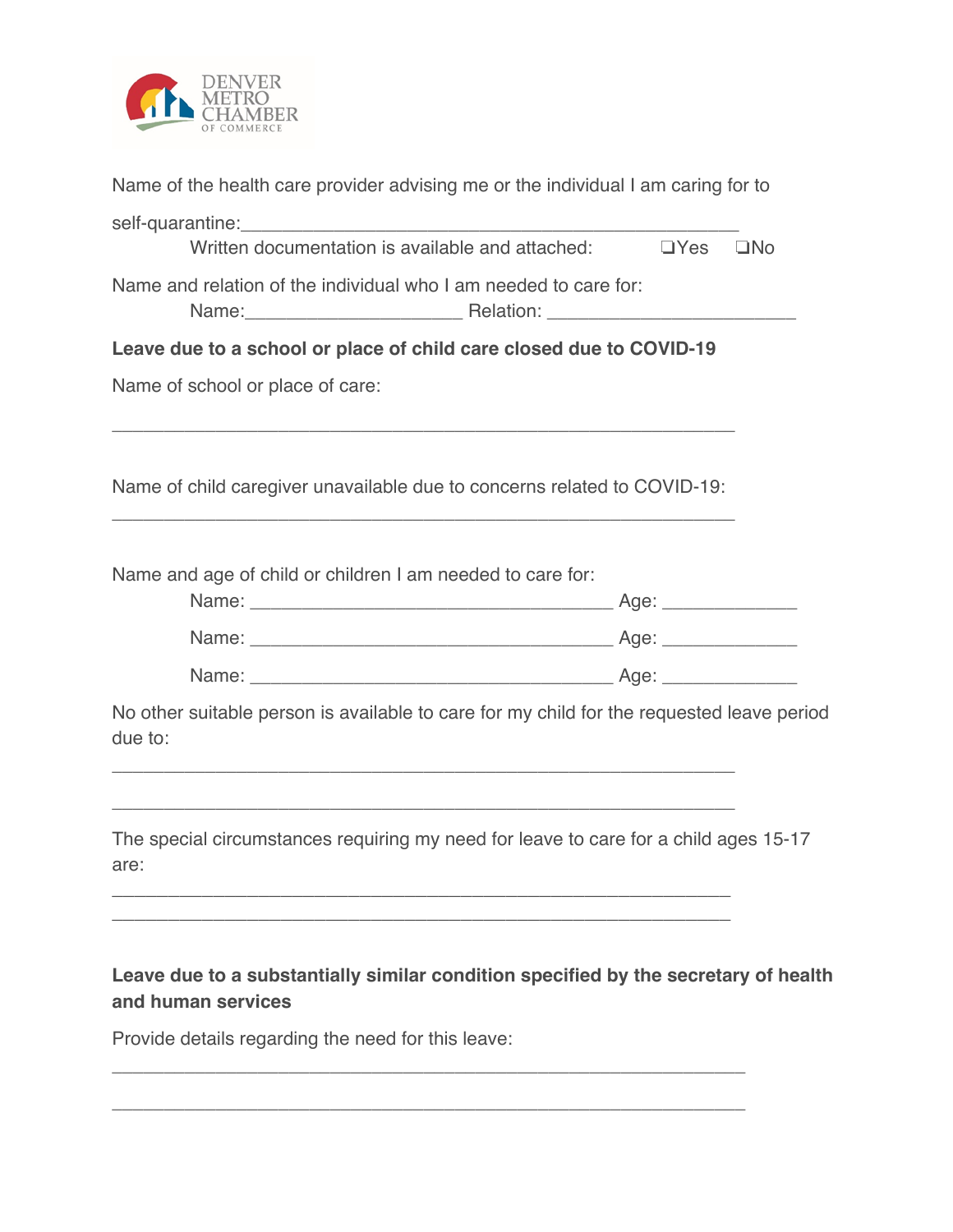

| Provide details regarding the need for this leave:                                                                                                                                                                                                                                                 |              |
|----------------------------------------------------------------------------------------------------------------------------------------------------------------------------------------------------------------------------------------------------------------------------------------------------|--------------|
| Leave due to a substantially similar condition specified by the secretary of health<br>and human services                                                                                                                                                                                          |              |
| The special circumstances requiring my need for leave to care for a child ages 15-17<br>are:                                                                                                                                                                                                       |              |
| No other suitable person is available to care for my child for the requested leave period<br>due to:<br><u> 1989 - Johann Stoff, amerikansk politiker (* 1908)</u>                                                                                                                                 |              |
|                                                                                                                                                                                                                                                                                                    |              |
|                                                                                                                                                                                                                                                                                                    |              |
| Name and age of child or children I am needed to care for:                                                                                                                                                                                                                                         |              |
| Name of child caregiver unavailable due to concerns related to COVID-19:                                                                                                                                                                                                                           |              |
| Name of school or place of care:                                                                                                                                                                                                                                                                   |              |
| Leave due to a school or place of child care closed due to COVID-19                                                                                                                                                                                                                                |              |
| Name and relation of the individual who I am needed to care for:<br>Name: \\connect{\math{\math{\math{\math{\math{\math{\math{\math{\math{\math{\math{\math{\math{\math{\math{\math{\math{\math{\math{\math{\math{\math{\math{\math{\math{\math{\math{\math{\math{\math{\math{\math{\math{\math{\m |              |
| Written documentation is available and attached: $\square$ Yes                                                                                                                                                                                                                                     | $\square$ No |
|                                                                                                                                                                                                                                                                                                    |              |
| Name of the health care provider advising me or the individual I am caring for to                                                                                                                                                                                                                  |              |

\_\_\_\_\_\_\_\_\_\_\_\_\_\_\_\_\_\_\_\_\_\_\_\_\_\_\_\_\_\_\_\_\_\_\_\_\_\_\_\_\_\_\_\_\_\_\_\_\_\_\_\_\_\_\_\_\_\_\_\_\_

\_\_\_\_\_\_\_\_\_\_\_\_\_\_\_\_\_\_\_\_\_\_\_\_\_\_\_\_\_\_\_\_\_\_\_\_\_\_\_\_\_\_\_\_\_\_\_\_\_\_\_\_\_\_\_\_\_\_\_\_\_